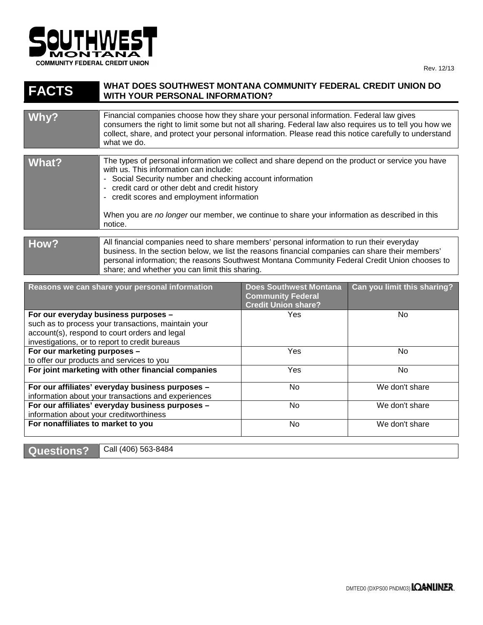

## **FACTS WHAT DOES SOUTHWEST MONTANA COMMUNITY FEDERAL CREDIT UNION DO WITH YOUR PERSONAL INFORMATION?**

| Financial companies choose how they share your personal information. Federal law gives<br>consumers the right to limit some but not all sharing. Federal law also requires us to tell you how we<br>collect, share, and protect your personal information. Please read this notice carefully to understand<br>what we do.<br>The types of personal information we collect and share depend on the product or service you have<br>with us. This information can include:<br>- Social Security number and checking account information<br>- credit card or other debt and credit history<br>- credit scores and employment information<br>When you are no longer our member, we continue to share your information as described in this<br>notice. |       |  |
|--------------------------------------------------------------------------------------------------------------------------------------------------------------------------------------------------------------------------------------------------------------------------------------------------------------------------------------------------------------------------------------------------------------------------------------------------------------------------------------------------------------------------------------------------------------------------------------------------------------------------------------------------------------------------------------------------------------------------------------------------|-------|--|
|                                                                                                                                                                                                                                                                                                                                                                                                                                                                                                                                                                                                                                                                                                                                                  | Why?  |  |
|                                                                                                                                                                                                                                                                                                                                                                                                                                                                                                                                                                                                                                                                                                                                                  |       |  |
|                                                                                                                                                                                                                                                                                                                                                                                                                                                                                                                                                                                                                                                                                                                                                  | What? |  |
|                                                                                                                                                                                                                                                                                                                                                                                                                                                                                                                                                                                                                                                                                                                                                  |       |  |

| How? | All financial companies need to share members' personal information to run their everyday        |  |  |
|------|--------------------------------------------------------------------------------------------------|--|--|
|      | business. In the section below, we list the reasons financial companies can share their members' |  |  |
|      | personal information; the reasons Southwest Montana Community Federal Credit Union chooses to    |  |  |
|      | share; and whether you can limit this sharing.                                                   |  |  |

| Reasons we can share your personal information      | <b>Does Southwest Montana</b><br><b>Community Federal</b><br><b>Credit Union share?</b> | Can you limit this sharing? |
|-----------------------------------------------------|-----------------------------------------------------------------------------------------|-----------------------------|
| For our everyday business purposes -                | Yes                                                                                     | No.                         |
| such as to process your transactions, maintain your |                                                                                         |                             |
| account(s), respond to court orders and legal       |                                                                                         |                             |
| investigations, or to report to credit bureaus      |                                                                                         |                             |
| For our marketing purposes -                        | <b>Yes</b>                                                                              | No.                         |
| to offer our products and services to you           |                                                                                         |                             |
| For joint marketing with other financial companies  | <b>Yes</b>                                                                              | No.                         |
| For our affiliates' everyday business purposes -    | No                                                                                      | We don't share              |
| information about your transactions and experiences |                                                                                         |                             |
| For our affiliates' everyday business purposes -    | No                                                                                      | We don't share              |
| information about your creditworthiness             |                                                                                         |                             |
| For nonaffiliates to market to you                  | No                                                                                      | We don't share              |
|                                                     |                                                                                         |                             |

**Questions?** Call (406) 563-8484